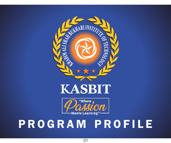

# **KASBIT**



# P R O G R A M P R O F I L E

01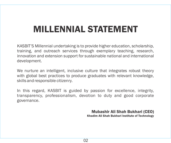# MILLENNIAL STATEMENT

KASBIT'S Millennial undertaking is to provide higher education, scholarship, training, and outreach services through exemplary teaching, research, innovation and extension support for sustainable national and international development.

We nurture an intelligent, inclusive culture that integrates robust theory with global best practices to produce graduates with relevant knowledge, skills and responsible citizenry.

In this regard, KASBIT is guided by passion for excellence, integrity, transparency, professionalism, devotion to duty and good corporate governance.

Mubashir Ali Shah Bukhari (CEO)

Khadim Ali Shah Bukhari Institute of Technology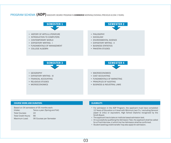### PROGRAM SCHEMA (ADP) ASSOCIATE DEGREE PROGRAM IN COMMERCE MORNING/EVENING (PREVIOUS B.COM 2 YEARS)



#### COURSE WORK AND DURATION: ELIGIBILITY:

| Intake:                    | Twice a year (Spring and Fall) |
|----------------------------|--------------------------------|
| <b>Total Courses:</b>      | 22                             |
| <b>Total Credit Hours:</b> | 66                             |
| Maximum Load:              | 06 Courses per Semester        |

- For admission in the ADP Program, the applicant must have completed 12 Years of Education or A level with Minimum two C's / excluding General paper & Urdu) or equivalent, High School Diploma recognized by the Sindh Board.
- The applicant has to take an institute based admission test.
- On successfully qualifying the Admission Test, the applicant shall be called for a Final Interview, in which his/her Admission shall be confirmed.
- Student seeking credit transfer may also apply for admission.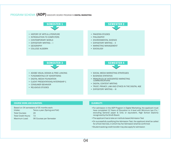### PROGRAM SCHEMA (ADP) ASSOCIATE DEGREE PROGRAM IN DIGITAL MARKETING



#### COURSE WORK AND DURATION: ELIGIBILITY:

| Intake:                    | Twice a year (Spring and Fall) |
|----------------------------|--------------------------------|
| <b>Total Courses:</b>      | 24                             |
| <b>Total Credit Hours:</b> | 72                             |
| Maximum Load:              | 06 Courses per Semester        |

- For admission in the ADP Program in Digital Marketing, the applicant must have completed 12 Years of Education or A level with Minimum two C's / excluding General paper & Urdu or equivalent, High School Diploma recognized by the Sindh Board.
- The applicant has to take an institute based Admission Test
- On successfully qualifying the Admission Test, the applicant shall be called for a final interview, in which his/her Admission shall be confirmed
- Student seeking credit transfer may also apply for admission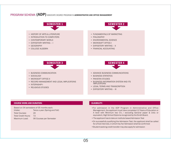### PROGRAM SCHEMA (ADP) ASSOCIATE DEGREE PROGRAM IN ADMINISTRATIVE AND OFFICE MANAGEMENT



#### COURSE WORK AND DURATION: ELIGIBILITY:

Based on 04 semesters of 05 months each.  $In this$ **Twice a year (Spring and Fall)** 

| <u>muano.</u>              | TWICC & YCAL (ODITIE ATIVIT OF |
|----------------------------|--------------------------------|
| <b>Total Courses:</b>      | 24                             |
| <b>Total Credit Hours:</b> | 72                             |
| Maximum Load:              | 06 Courses per Semester        |

- For admission in the ADP Program in Administrative and Office Management, the applicant must have completed 12 Years of Education or A level with Minimum two C's / excluding General paper & Urdu or equivalent, High School Diploma recognized by the Sindh Board.
- The applicant has to take an institute based Admission Test
- On successfully qualifying the Admission Test, the applicant shall be called for a final interview, in which his/her Admission shall be confirmed
- Student seeking credit transfer may also apply for admission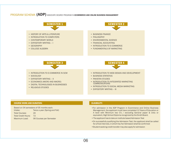### PROGRAM SCHEMA (ADP) ASSOCIATE DEGREE PROGRAM IN ECOMMERCE AND ONLINE BUSINESS MANAGEMENT



#### COURSE WORK AND DURATION: ELIGIBILITY:

| Intake:                    | Twice a year (Spring and Fall) |
|----------------------------|--------------------------------|
| <b>Total Courses:</b>      | 24                             |
| <b>Total Credit Hours:</b> | $72^{\circ}$                   |
| Maximum Load:              | 06 Courses per Semester        |

- For admission in the ADP Program in Ecommerce and Online Business Management, the applicant must have completed 12 Years of Education or A level with Minimum two C's / excluding General paper & Urdu or equivalent, High School Diploma recognized by the Sindh Board.
- The applicant has to take an institute based Admission Test
- On successfully qualifying the Admission Test, the applicant shall be called for a final interview, in which his/her Admission shall be confirmed
- Student seeking credit transfer may also apply for admission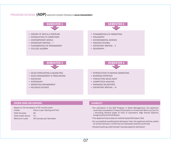### PROGRAM SCHEMA (ADP) ASSOCIATE DEGREE PROGRAM IN SALES MANAGEMENT



#### COURSE WORK AND DURATION: ELIGIBILITY:

| Intake:                    | Twice a year (Spring and Fall) |
|----------------------------|--------------------------------|
| <b>Total Courses:</b>      | 24                             |
| <b>Total Credit Hours:</b> | 72                             |
| Maximum Load:              | 06 Courses per Semester        |

- For admission in the ADP Program in Sales Management, the applicant must have completed 12 Years of Education or A level with Minimum two C's / excluding General paper & Urdu or equivalent, High School Diploma recognized by the Sindh Board.
- •The applicant has to take an institute based Admission Test
- •On successfully qualifying the Admission Test, the applicant shall be called for a final interview, in which his/her Admission shall be confirmed
- •Student seeking credit transfer may also apply for admission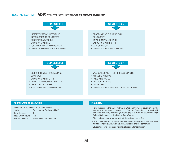### PROGRAM SCHEMA (ADP) ASSOCIATE DEGREE PROGRAM IN WEB AND SOFTWARE DEVELOPMENT



#### COURSE WORK AND DURATION: ELIGIBILITY:

Based on 04 semesters of 05 months each. Intake: Total Courses: Twice a year (Spring and Fall) 24

Total Credit Hours: 72

Maximum Load: 06 Courses per Semester

- For admission in the ADP Program in Web and Software development, the applicant must have completed 12 Years of Education or A level with Minimum two C's / excluding General paper & Urdu or equivalent, High School Diploma recognized by the Sindh Board.
- The applicant has to take an institute based Admission Test
- On successfully qualifying the Admission Test, the applicant shall be called for a final interview, in which his/her Admission shall be confirmed
- Student seeking credit transfer may also apply for admission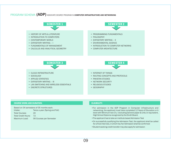### PROGRAM SCHEMA (ADP) ASSOCIATE DEGREE PROGRAM IN COMPUTER INFRASTRUCTURE AND NETWORKING



#### COURSE WORK AND DURATION: ELIGIBILITY:

| Intake:                    | Twice a year (Spring and Fall) |
|----------------------------|--------------------------------|
| <b>Total Courses:</b>      | 24                             |
| <b>Total Credit Hours:</b> | 72.                            |
| Maximum Load:              | 06 Courses per Semester        |

- For admission in the ADP Program in Computer infrastructure and networking, the applicant must have completed 12 Years of Education or A level with Minimum two C's / excluding General paper & Urdu or equivalent, High School Diploma recognized by the Sindh Board.
- The applicant has to take an institute based Admission Test
- On successfully qualifying the Admission Test, the applicant shall be called for a final interview, in which his/her Admission shall be confirmed
- Student seeking credit transfer may also apply for admission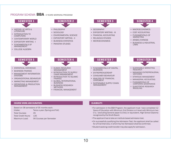#### PROGRAM SCHEMA BBA 4 YEARS MORNING PROGRAM



#### COURSE WORK AND DURATION: ELIGIBILITY:

| Intake:                    | Twice a year (Spring and Fall) |
|----------------------------|--------------------------------|
| <b>Total Courses:</b>      | 45                             |
| <b>Total Credit Hours:</b> | 135                            |
| Maximum Load:              | 06 Courses per Semester        |

- For admission in the BBA Program, the applicant must have completed 12 Years of Education with Minimum 2nd Division or A level with Minimum two C's / (excluding General paper & Urdu) or equivalent, High School Diploma recognized by the Sindh Board.
- •The applicant has to take an institute based admission test.
- •On successfully qualifying the Admission Test, the applicant shall be called for a Final Interview, in which his/her Admission shall be confirmed.
- •Student seeking credit transfer may also apply for admission.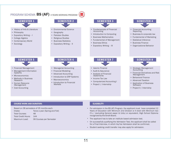### PROGRAM SCHEMA **BS (AF)** 4 YEARS MORNING PROGRAM



- History of Arts & Literature
- Philosophy
- Expository Writing I
- College Algebra
- Contemporary World
- Sociology





- Geography
- Pakistan Studies
- Religious Studies
- Business Statistics
- Expository Writing II



- Fundamentals of Financial Accounting
- Introduction to Computing
- Business Mathematics
- Fundamental of Management
- Business Ethics
- Expository Writing III

- Financial Accounting Reporting
- Business & corporate law
- Fundamental of Marketing
- Statistical Inference
- Business Finance
- Organizational Behavior

- Financial Management
- Management Information **Systems**
- Microeconomics
- Methods in Business Research
- Human Resource Management
- Cost Accounting



- Managerial Accounting
- Financial Modeling
- Advanced Accounting
- Introduction to ERP Systems
- Macroeconomics
- Introduction to Financial **Markets**

# SEMESTER 5 SEMESTER 6 SEMESTER 6 SEMESTER 7 SEMESTER 8 SEMESTER 8

- Islamic Finance
- Audit & Assurance
- Analysis of Financial **Statements**
- Income Tax Law
- Computerized Accounting I
- Project I / Internship



- Strategic Management **Accounting**
- Financial Derivatives and Risk Management
- Behavioral Finance
- Advanced Taxation
- Application of Business **Software**
- Project II / Internship

#### COURSE WORK AND DURATION: ELIGIBILITY:

Based on 08 semesters of 05 months each. Intake: Total Courses: Total Credit Hours: Maximum Load: Twice a year (Spring and Fall) 48 144 06 Courses per Semester

- For admission in the BS (AF) Program, the applicant must have completed 12 Years of Education with Minimum 2nd Division or A level with Minimum two C's / (excluding General paper & Urdu) or equivalent, High School Diploma recognized by the Sindh Board.
- The applicant has to take an institute based admission test.
- On successfully qualifying the Admission Test, the applicant shall be called for a Final Interview, in which his/her Admission shall be confirmed.
- Student seeking credit transfer may also apply for admission.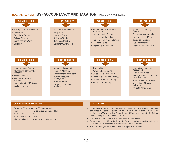### PROGRAM SCHEMA BS (ACCOUNTANCY AND TAXATION) 4 YEARS MORNING PROGRAM



- History of Arts & Literature
- Philosophy
- Expository Writing I
- College Algebra
- Contemporary World
- Sociology



- Environmental Science
- Geography
- Pakistan Studies
- Religious Studies • Business Statistics
- Expository Writing II



- Fundamentals of Financial Accounting
- Introduction to Computing
- Business Mathematics
- Fundamental of Management
- Business Ethics
- Expository Writing III



- Financial Accounting Reporting
- Business & corporate law
- Fundamental of Marketing
- Statistical Inference
- Business Finance
- Organizational Behavior

| <b>SEMESTER 5</b> |  |
|-------------------|--|
|                   |  |

- Financial Management
- Management Information **Systems**
- Microeconomics
- Methods in Business Research
- Introduction to ERP Systems
- Cost Accounting

- Managerial Accounting
- Financial Modeling
- Fundamentals of Taxation
- Human Resource Management
- Macroeconomics
- **Introduction to Financial Markets**

# SEMESTER 6 SEMESTER 7 SEMESTER 8 SEMESTER 8

- Islamic Finance
- Advanced Accounting
- Sales Tax Law and Practices
- Income Tax Law and E Filling
- Computerized Accounting
- Project I / Internship



- Strategic management **Accounting**
- Audit & Assurance
- Excise, Customs & other Tax Laws Practices
- Advance Income Tax Law
- Application of Business **Software**
- Project II / Internship

#### COURSE WORK AND DURATION: ELIGIBILITY:

Based on 08 semesters of 05 months each. Intake: Total Courses: Total Credit Hours: Maximum Load: Twice a year (Spring and Fall) 48 144 06 Courses per Semester

- For admission in the BS Accountancy and Taxation, the applicant must have completed 12 Years of Education with Minimum 2nd Division or A level with Minimum two C's / (excluding General paper & Urdu) or equivalent, High School Diploma recognized by the Sindh Board.
- The applicant has to take an institute based Admission Test
- On successfully qualifying the Admission Test, the applicant shall be called for a final interview, in which his/her Admission shall be confirmed
- Student seeking credit transfer may also apply for admission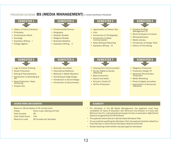### PROGRAM SCHEMA BS (MEDIA MANAGEMENT) 4 YEARS MORNING PROGRAM



- History of Arts & Literature
- Philosophy
- Contemporary World
- Sociology
- Expository Writing I
- College Algebra



- Environmental Science
- Geography
- Pakistan Studies
- Religious Studies • Business Statistics
- Expository Writing II



- Appreciation of Literary Text
- Urdu
- Introduction to Photography
- Introduction to Mass **Communication**
- News Writing & Reporting
- Expository Writing III

- Creative Portfolio Management (P)
- World Civilization & Culture
- Writing Workshop
- Media Literacy
- Introduction to Design Tools
- History of Filmmaking

- Logic & Critical Thinking
- Studio Production
- Editing & Post-production
- Introduction to Advertising & PR
- News Production/ News Anchoring
- Theater Arts



- Business Journalism
- International Relations
- Methods in Media Research
- Sub-Editing & Page-Design
- Introduction to Sound Design
- Introduction to Documentary



- Development Communication
- Human Rights & Gender **Reporting**
- Basic Economics
- Sports Journalism
- Director's Toolkit (P)
- Ad-Film Production

- Magazine Production
- Production Design (P)
- Advanced Documentary Production
- Media Marketing
- Photo & Digital Journalism
- Appreciation of Vernacular **Literature**

#### COURSE WORK AND DURATION: ELIGIBILITY:

| Based on 08 semesters of 05 months each. |                                |
|------------------------------------------|--------------------------------|
| Intake:                                  | Twice a year (Spring and Fall) |
| <b>Total Courses:</b>                    | 48                             |
| <b>Total Credit Hours:</b>               | 144                            |
| Maximum Load:                            | 06 Courses per Semester        |

- For admission in the BS Media Management, the applicant must have completed 12 Years of Education with Minimum 2nd Division or A level with Minimum two C's / (excluding General paper & Urdu) or equivalent, High School Diploma recognized by the Sindh Board.
- The applicant has to take an institute based Admission Test
- On successfully qualifying the Admission Test, the applicant shall be called for a final interview, in which his/her Admission shall be confirmed
- Student seeking credit transfer may also apply for admission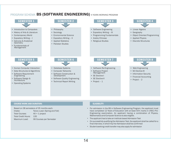### PROGRAM SCHEMA BS (SOFTWARE ENGINEERING) 4 YEARS MORNING PROGRAM



#### COURSE WORK AND DURATION: ELIGIBILITY:

Based on 08 semesters of 05 months each. Intake: Total Courses: Total Credit Hours: Maximum Load: Twice a year (Spring and Fall) 40 + 1 project 135 06 Courses per Semester

- For admission in the BS in Software Engineering Program, the applicant must have completed 12 Years of Education with at least 50% marks in (HSC) Pre-Engineering examination. An applicant having a combination of Physics, Mathematics and Computer Science is also eligible.
- The applicant has to take an institute based Admission Test
- On successfully qualifying the Admission Test, the applicant shall be called for a final interview, in which his/her Admission shall be confirmed
- Student seeking credit transfer may also apply for admission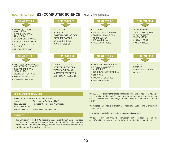#### PROGRAM SCHEMA BS (COMPUTER SCIENCE) 4 YEARS MORNING PROGRAM



Based on 08 semesters of 05 months each.

| Intake:                    | Twice a year (Spring and Fall)    |
|----------------------------|-----------------------------------|
| <b>Total Courses:</b>      | 41 Prescribed Courses + 1 Project |
| <b>Total Credit Hours:</b> | 141                               |
| Maximum Load:              | 06 Courses per Semester           |
|                            |                                   |

#### ELIGIBILITY:

• For admission in the BS(CS) Program, the applicant must have completed 12 Years of Education with atleast 50% marks in (HSC) Pre-Engineering examination. An applicant having a combination of Physics, Mathematics and Computer Science is also eligible.

- levels or other foreign qualifications must provide an equivalence certificate with at least 50% marks, issued by Intermediate Board Committee of Chairman (IBCC).
- Or, At least 50% marks in Diploma of Associate Engineering Examination, for admission.
- The applicant has to take an institute based admission test.
- On successfully qualifying the Admission Test, the applicant shall be called for a Final Interview, in which his/her Admission shall be confirmed.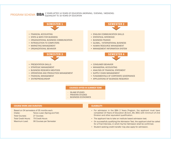### PROGRAM SCHEMA BBA <sup>2 YEARS</sup> AFTER 14 YEARS OF EDUCATION (MORNING / EVENING / WEEKEND)



#### COURSES OFFER IN SUMMER TERM

- ISLAMI STUDIES
- PAKISTAN STUDIES
- BUSINESS ECONOMICS

#### COURSE WORK AND DURATION:

Based on 04 semesters of 05 months each. Intake: Twice a year (Spring and Fall)

Total Courses: Total Credit Hours: 79 Credit Hours Maximum Load: 27 Courses 06 Courses per Semester ELIGIBILITY:

- For admission in the BBA 2 Years Program, the applicant must have completed 14 Years of Education (B.Com, BA, BSC) with minimum of 2nd Division and other equivalent qualification.
- The applicant has to take an institute based admission test.
- On successfully qualifying the Admission Test, the applicant shall be called for a Final Interview, in which his/her Admission shall be confirmed.
- Student seeking credit transfer may also apply for admission.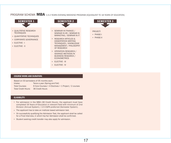#### PROGRAM SCHEMA **MBA** 1.5-2 YEARS EVENING/WEEKEND PROGRAM (EQUIVALENT TO 18 YEARS OF EDUCATION)



- OUALITATIVE RESEARCH **TECHNIQUES**
- OUANTITATIVE TECHNIQUES
- CORPORATE GOVERNANCE
- ELECTIVE I
- ELECTIVE II



- ADVANCE METHODS IN BUSINESS RESEARCH / ECONOMETRICS
- ELECTIVE III
- ELECTIVE IV



#### COURSE WORK AND DURATION:

Based on 03 semesters of 05 months each.

Intake: Total Courses: Total Credit Hours: 36 Credit Hours Twice a year (Spring and Fall) 6 Core Courses + 4 Electives + 1 Project / 2 courses

#### ELIGIBILITY:

- For admission in the MBA (36 Credit Hours), the applicant must have completed 16 Years of Education in relevant field with minimum of 2nd Division (Annual System) / 2.5 CGPA preferred (Semester System).
- The applicant has to take an institute based admission test.
- On successfully qualifying the Admission Test, the applicant shall be called for a Final Interview, in which his/her Admission shall be confirmed.
- Student seeking credit transfer may also apply for admission.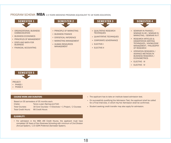#### PROGRAM SCHEMA **MBA** 2.5 YEARS WEEKEND PROGRAM (EQUIVALENT TO 18 YEARS EDUCATION)



- ORGANIZATIONAL BUSINESS **COMMUNICATION**
- BUSINESS ECONOMICS
- PRINCIPLES OF MANAGEMENT
- STATS AND MATH FOR **BUSINESS**
- FINANCIAL ACCOUNTING



- PRINCIPLE OF MARKETING
- **BUSINESS FINANCE**
- **STATISTICAL INFERENCE**
- MARKETING MANAGEMENT
- **HUMAN RESOURCES** MANAGEMENT



- QUALITATIVE RESEARCH **TECHNIQUES**
- OUANTITATIVE TECHNIQUES
- CORPORATE GOVERNANCE
- ELECTIVE-I
- **ELECTIVE-II**



- SEMINAR IN FINANCE / SEMINAR IN HR / SEMINAR IN MARKETING / SEMINAR IN IT
- RESEARCH ARTICLES & DISSERTATION WRITING TECHNIQUES / KNOWLEDGE MANAGEMENT / PHILOSOPHY OF RESEARCH
- OPERATION RESEARCH / ADVANCE METHODS IN BUSINESS RESEARCH / **ECONOMETRICS**
- ELECTIVE III
- ELECTIVE IV



#### PROJECT:

- PHASE-I
- PHASE-II

Based on 05 semesters of 05 months each.

Intake: Twice a year (Spring and Fall)

Total Courses:

Total Credit Hours: 66 Credit Hours

16 Core Courses + 4 Electives + 1 Project / 2 Courses

#### ELIGIBILITY:

For admission in the MBA (66 Credit Hours), the applicant must have completed 16 Years of Non Business Schooling with minimum of 2nd Division (Annual System) / 2.5 CGPA Preferred (Semester System).

- COURSE WORK AND DURATION: The applicant has to take an institute based admission test.
	- On successfully qualifying the Admission Test, the applicant shall be called for a Final Interview, in which his/her Admission shall be confirmed.
	- Student seeking credit transfer may also apply for admission.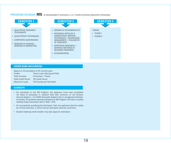### PROGRAM SCHEMA **MS** IN MANAGEMENT SCIENCES (1.5-2 YEARS EVENING/WEEKEND PROGRAM)



- **TECHNIQUES**
- QUANTITATIVE TECHNIQUES
- CORPORATE GOVERNANCE
- SEMINAR IN FINANCE/ SEMINAR IN MARKETING



- QUALITATIVE RESEARCH **DESISIS:** SEMINAR IN HR/SEMINAR IN IT **THESIS**:
	- RESEARCH ARTICLES & DISSERTATION WRITING TECHNIQUES / KNOWLEDGE MANAGEMENT / PHILOSOPHY OF RESEARCH
	- OPERATION RESEARCH / ADVANCE METHODS IN BUSINESS RESEARCH
	- **ECONOMETRICS**



#### COURSE WORK AND DURATION:

| Based on 03 semesters of 05 months each. |                                |  |
|------------------------------------------|--------------------------------|--|
| Intake:                                  | Twice a year (Spring and Fall) |  |
| <b>Total Courses:</b>                    | 8 Courses + Thesis             |  |
| <b>Total Credit Hours:</b>               | 30 Credit Hours                |  |
| Maximum Load:                            | 04 Courses per Semester        |  |

#### ELIGIBILITY:

- For admission in the MS Program, the applicant must have completed 16 Years of Education in relevant field with minimum of 1st Division (Annual System) / 2.5 CGPA (Semester System) from a recognized Institute/ University. All students seeking admission to MS Program will have to qualify Institute based admission test or GRE / NTS.
- On successfully qualifying the Admission Test, the applicant shall be called for a Final Interview, in which his/her Admission shall be confirmed.
- Student seeking credit transfer may also apply for admission.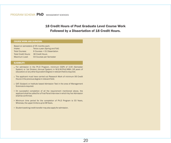### 18 Credit Hours of Post Graduate Level Course Work Followed by a Dissertation of 18 Credit Hours.

#### COURSE WORK AND DURATION:

| Based on semesters of 05 months each. |                                |
|---------------------------------------|--------------------------------|
| Intake:                               | Twice a year (Spring and Fall) |
| <b>Total Courses:</b>                 | 6 Courses + 01 Dissertation    |
| <b>Total Credit Hours:</b>            | 36 Credit Hours                |
| Maximum Load:                         | 03 Courses per Semester        |

#### ELIGIBILITY:

- For admission in the Ph.D Program, minimum CGPA of 3.00 (Semester System) or 1st Division (Annual System) in M.S/M.Phill/MBA (18 years of education) or any other Equivalent Degree in relevant field is required.
- The applicant must have carried out Research Work of minimum 06 Credit Hours in the previous degree in relevant field.
- GAT (Subject) or Institute based Admission Test in the area of Management Sciences is required.
- On successful completion of all the requirement mentioned above, the applicant shall be called for a Final Panel Interview in which his/her Admission shall be confirmed.
- Minimum time period for the completion of Ph.D Program is 03 Years, Whereas, the upper limits is up to 08 Years.
- Student seeking credit transfer may also apply for admission.

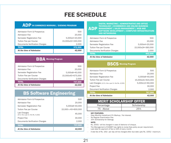# FEE SCHEDULE

### ADP IN COMMERCE MORNING / EVENING PROGRAM

| Admission Form & Prospectus    | 500               |
|--------------------------------|-------------------|
| Admission Fee                  | 20,000            |
| Semester Registration Fee      | 5,000x4=20,000    |
| <b>Tuition Fee per Course</b>  | 15,000x22=330,000 |
| Documents Verification Charges | 2,000             |
| TOTAL                          | 372,500           |
| At the time of Admission       | 42.000            |

| BBA<br><b>Morning Program</b>  |                   |
|--------------------------------|-------------------|
| Admission Form & Prospectus    | 500               |
| Admission Fee                  | 20,000            |
| Semester Registration Fee      | 5,000x8=40,000    |
| Tuition Fee per Course         | 15,000x45=675,000 |
| Documents Verification Charges | 2,000             |
| <b>TOTAL</b>                   | 737,500           |
| At the time of Admission       |                   |

## BS Software Engineering

| At the time of Admission                           | 42,000              |
|----------------------------------------------------|---------------------|
| <b>TOTAL</b>                                       | 737,500             |
| Documents Verification Charges                     | 2,000               |
| <b>Project Fee</b>                                 | 30,000              |
| Lab Charges<br>(9 Cr. Hrs x per Cr. Hrs Rs. 4,333) | 45,000              |
| Tuition Fee per Course                             | 15,000 x 40=600,000 |
| Semester Registration Fee                          | 5.000x8=40.000      |
| Admission Fee                                      | 20,000              |
| Admission Form & Prospectus                        | 500                 |
|                                                    |                     |

#### ADP MANAGEMENT | SALES MANAGEMENT | WEB AND DIGITAL MARKETING | ADMINISTRATIVE AND OFFICE TECHNOLOGY | ECOMMERCE AND ONLINE BUSINESS SOFTWARE DEVELOPMENT | COMPUTER INFRASTRUCTURE AND NETWORKING

| Admission Form & Prospectus    | 500               |
|--------------------------------|-------------------|
| Admission Fee                  | 20,000            |
| Semester Registration Fee      | 5,000x4=20,000    |
| Tuition Fee per Course         | 15.000x24=360.000 |
| Documents Verification Charges | 2.000             |
| <b>TOTAL</b>                   | 402,500           |
| At the time of Admission       | 42.000            |

#### **BSCS** Morning Program

| Admission Form & Prospectus                      | 500               |
|--------------------------------------------------|-------------------|
| Admission Fee                                    | 20,000            |
| Semester Registration Fee                        | 5.000x8=40.000    |
| Tuition Fee per Course                           | 15,000x41=615,000 |
| Lab Charges (12 Cr. Hrs x per Cr. Hrs Rs. 4,333) | 5,000x12=60,000   |
| Project Fee                                      | 30,000            |
| Document Verification Charges                    | 2,000             |
| <b>TOTAL</b>                                     | 767,500           |
| At the time of Admission                         | 42.000            |

| <b>MERIT SCHOLARSHIP OFFER</b> |             |
|--------------------------------|-------------|
| Percentage                     | Scholarship |
| 75 - Above                     | 25%         |

#### KEY FEATURES:

- - Easy Monthly Installment 0% Markup / No Interest.

- - No Regular Examination Fee.

- - 20% Scholarship for Siblings.

#### NOTE:

- - Rs. 2000/- will be charged in case of dishonor of cheque.

- - The Management of KASBIT has rights to revise fees policy as per requirement. Last date for payment of fee is 10th of every month.

- - A late fee of Rs. 100/- per day will be charged after due date upto Rs. 1000/- maximum.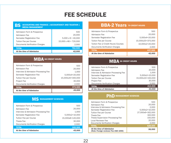# FEE SCHEDULE

## BS ACCOUNTING AND FINANCE | ACCOUNTANCY AND TAXATION | MEDIA MANAGEMENT

| Admission Form & Prospectus    | 500                          |
|--------------------------------|------------------------------|
| Admission Fee                  | 20,000                       |
| Semester Registration Fee      | $5,000 \times 8 = 40,000$    |
| <b>Tuition Fee per Course</b>  | $15,000 \times 48 = 720,000$ |
| Documents Verification Charges | 2.000                        |
| <b>TOTAL</b>                   | 782,500                      |
| At the time of Admission       | 42.000                       |

| <b>MBA</b> 66 CREDIT HOURS           |                   |
|--------------------------------------|-------------------|
| Admission Form & Prospectus          | 500               |
| Admission Fee                        | 20,000            |
| Interview & Admission Processing Fee | 1.000             |
| Semester Registration Fee            | 5.000x4=20.000    |
| Tuition Fee per Course               | 15,000x20=300,000 |
| <b>Project Fee</b>                   | 30,000            |
| Documents Verification Charges       | 2,000             |
| <b>TOTAL</b>                         | 373,500           |
| At the time of Admission             | 43,000            |

### **MS** MANAGEMENT SCIENCES

| Admission Form & Prospectus          | 500                |
|--------------------------------------|--------------------|
| Admission Fee                        | 20,000             |
| Interview & Admission Processing Fee | 1,000              |
| Semester Registration Fee            | $5.000x2 = 10.000$ |
| Tuition Fee per Course               | 15,000x8=120,000   |
| Thesis Fee                           | 30,000             |
| Documents Verification Charges       | 2,000              |
| <b>TOTAL</b>                         | 183,500            |
| At the time of Admission             |                    |

## BBA-2 Years 79 CREDIT HOURS

| Admission Form & Prospectus          | 500               |
|--------------------------------------|-------------------|
| Admission Fee                        | 20,000            |
| Semester Registration Fee            | 5,000x4=20,000    |
| <b>Tuition Fee per Course</b>        | 15,000x25=375,000 |
| Tuition Fee (2 Credit Hours) Courses | 10,000x2=20,000   |
| Documents Verification Charges       | 2.000             |
| <b>TOTAL</b>                         | 437,500           |
| At the time of Admission             | 42.000            |

### MBA 36 CREDIT HOURS

| Admission Form & Prospectus          | 500               |
|--------------------------------------|-------------------|
| Admission Fee                        | 20,000            |
| Interview & Admission Processing Fee | 1,000             |
| Semester Registration Fee            | 5,000x2=10,000    |
| Tuition Fee per Course               | 15,000x10=150,000 |
| Project Fee                          | 30,000            |
| Documents Verification Charges       | 2,000             |
| <b>TOTAL</b>                         | 213,500           |
| At the time of Admission             |                   |

#### **PhD MANAGEMENT SCIENCES**

| At the time of Admission<br>(Note: Foreign reviewer Fee USD 1000) | 56,000           |
|-------------------------------------------------------------------|------------------|
| <b>TOTAL</b>                                                      | 528,500          |
| Documents Verification Charges                                    | 2,000            |
| Local Reviewer Fee                                                | 20,000           |
| <b>Thesis Supervision Processing Fee</b>                          | 150,000          |
| Thesis Fee                                                        | 162,000          |
| Tuition Fee per Course                                            | 27,000x6=162,000 |
| Semester Registration Fee                                         | $5,000x2=10,000$ |
| Interview & Admission Processing Fee                              | 2.000            |
| Admission Fee                                                     | 20,000           |
| Admission Form & Prospectus                                       | 500              |
|                                                                   |                  |

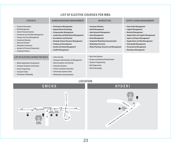| <b>LIST OF ELECTIVE COURSES FOR MBA</b>                                                                                                                                                                                                                                                       |                                                                                                                                                                                                                                                                                                   |                                                                                                                                                                                                                                      |                                                                                                                                                                                                                                                                                  |
|-----------------------------------------------------------------------------------------------------------------------------------------------------------------------------------------------------------------------------------------------------------------------------------------------|---------------------------------------------------------------------------------------------------------------------------------------------------------------------------------------------------------------------------------------------------------------------------------------------------|--------------------------------------------------------------------------------------------------------------------------------------------------------------------------------------------------------------------------------------|----------------------------------------------------------------------------------------------------------------------------------------------------------------------------------------------------------------------------------------------------------------------------------|
| <b>FINANCE</b>                                                                                                                                                                                                                                                                                | <b>HUMAN RESOURCE MANAGEMENT</b>                                                                                                                                                                                                                                                                  | <b>MARKETING</b>                                                                                                                                                                                                                     | <b>SUPPLY CHAIN MANAGEMENT</b>                                                                                                                                                                                                                                                   |
| • Financial Derivatives<br>• Risk Management<br>• Islamic Financial System<br>• Investment and Portfolio Management<br>• Treasury and Fund Management<br>• Investment Banking<br>• Advanced Taxation<br>• Alternative Investment<br>• Analysis of Financial Statements<br>• Corporate Finance | • Performance Management<br>• Organizational Psychology<br>• Compensation Management<br>• Leadership and Motivational Management<br>• Recruitment and Selection<br>• Strategic Human Resource Management<br>• Training and Development<br>• Health and Safety Management<br>• Conflict Management | • Consumer Behavior<br>• Retail Management<br>• Advertisement Management<br>• Sales Management<br>• Brand Management<br>• Integrated Marketing Communication<br>• Marketing of Services<br>• Media Planning, Research and Management | • Value Chain Management<br>• Logistic Management<br>• Material Management<br>• Supply Chain and Logistic Management<br>• Import and Export Management<br>• Supply Chain and Risk Management<br>• Total Quality Management<br>• Procurement Management<br>• Warehouse Management |
| LIST OF ELECTIVE COURSE FOR BSCS<br>• Mobile Application Development<br>• Computer Graphics & Animation<br>• Visual Progamming<br>• Computer Vision<br>• Simulation & Modeling                                                                                                                | • Cyber Security<br>• Database Administration & Management<br>• Data Encryption and Security<br>• Enterprise Systems<br>• Human Computer Interaction<br>• Information Systems Audit<br>• Multimedia Communications                                                                                | • Real Time Systems<br>• System and Network Administration<br>• Systems Programming<br>• Web Engineering<br>• Web Technologies                                                                                                       |                                                                                                                                                                                                                                                                                  |

#### LOCATION